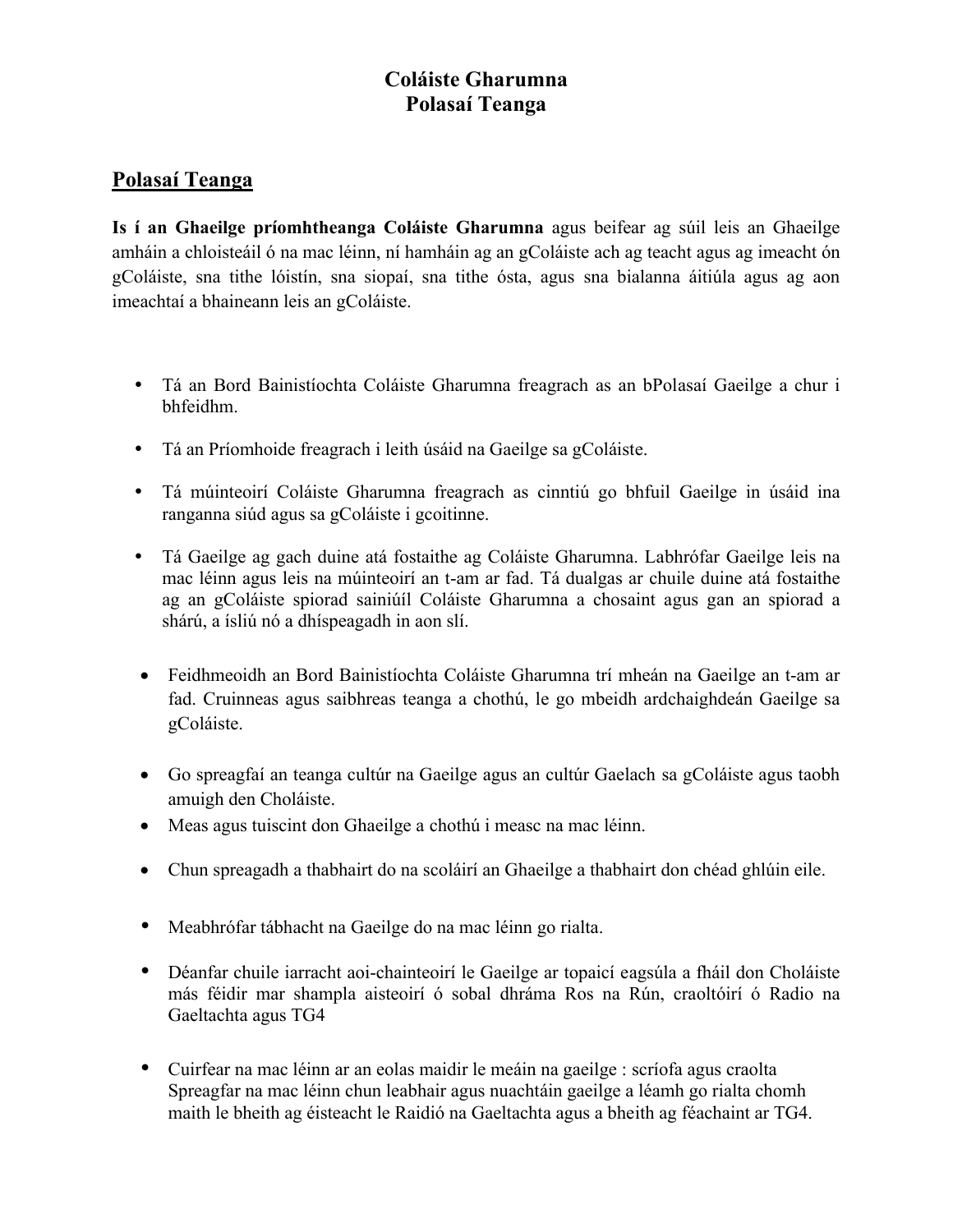## **Coláiste Gharumna Polasaí Teanga**

## **Polasaí Teanga**

**Is í an Ghaeilge príomhtheanga Coláiste Gharumna** agus beifear ag súil leis an Ghaeilge amháin a chloisteáil ó na mac léinn, ní hamháin ag an gColáiste ach ag teacht agus ag imeacht ón gColáiste, sna tithe lóistín, sna siopaí, sna tithe ósta, agus sna bialanna áitiúla agus ag aon imeachtaí a bhaineann leis an gColáiste.

- Tá an Bord Bainistíochta Coláiste Gharumna freagrach as an bPolasaí Gaeilge a chur i bhfeidhm.
- Tá an Príomhoide freagrach i leith úsáid na Gaeilge sa gColáiste.
- Tá múinteoirí Coláiste Gharumna freagrach as cinntiú go bhfuil Gaeilge in úsáid ina ranganna siúd agus sa gColáiste i gcoitinne.
- Tá Gaeilge ag gach duine atá fostaithe ag Coláiste Gharumna. Labhrófar Gaeilge leis na mac léinn agus leis na múinteoirí an t-am ar fad. Tá dualgas ar chuile duine atá fostaithe ag an gColáiste spiorad sainiúíl Coláiste Gharumna a chosaint agus gan an spiorad a shárú, a ísliú nó a dhíspeagadh in aon slí.
- Feidhmeoidh an Bord Bainistíochta Coláiste Gharumna trí mheán na Gaeilge an t-am ar fad. Cruinneas agus saibhreas teanga a chothú, le go mbeidh ardchaighdeán Gaeilge sa gColáiste.
- Go spreagfaí an teanga cultúr na Gaeilge agus an cultúr Gaelach sa gColáiste agus taobh amuigh den Choláiste.
- Meas agus tuiscint don Ghaeilge a chothú i measc na mac léinn.
- Chun spreagadh a thabhairt do na scoláirí an Ghaeilge a thabhairt don chéad ghlúin eile.
- Meabhrófar tábhacht na Gaeilge do na mac léinn go rialta.
- Déanfar chuile iarracht aoi-chainteoirí le Gaeilge ar topaicí eagsúla a fháil don Choláiste más féidir mar shampla aisteoirí ó sobal dhráma Ros na Rún, craoltóirí ó Radio na Gaeltachta agus TG4
- Cuirfear na mac léinn ar an eolas maidir le meáin na gaeilge : scríofa agus craolta Spreagfar na mac léinn chun leabhair agus nuachtáin gaeilge a léamh go rialta chomh maith le bheith ag éisteacht le Raidió na Gaeltachta agus a bheith ag féachaint ar TG4.